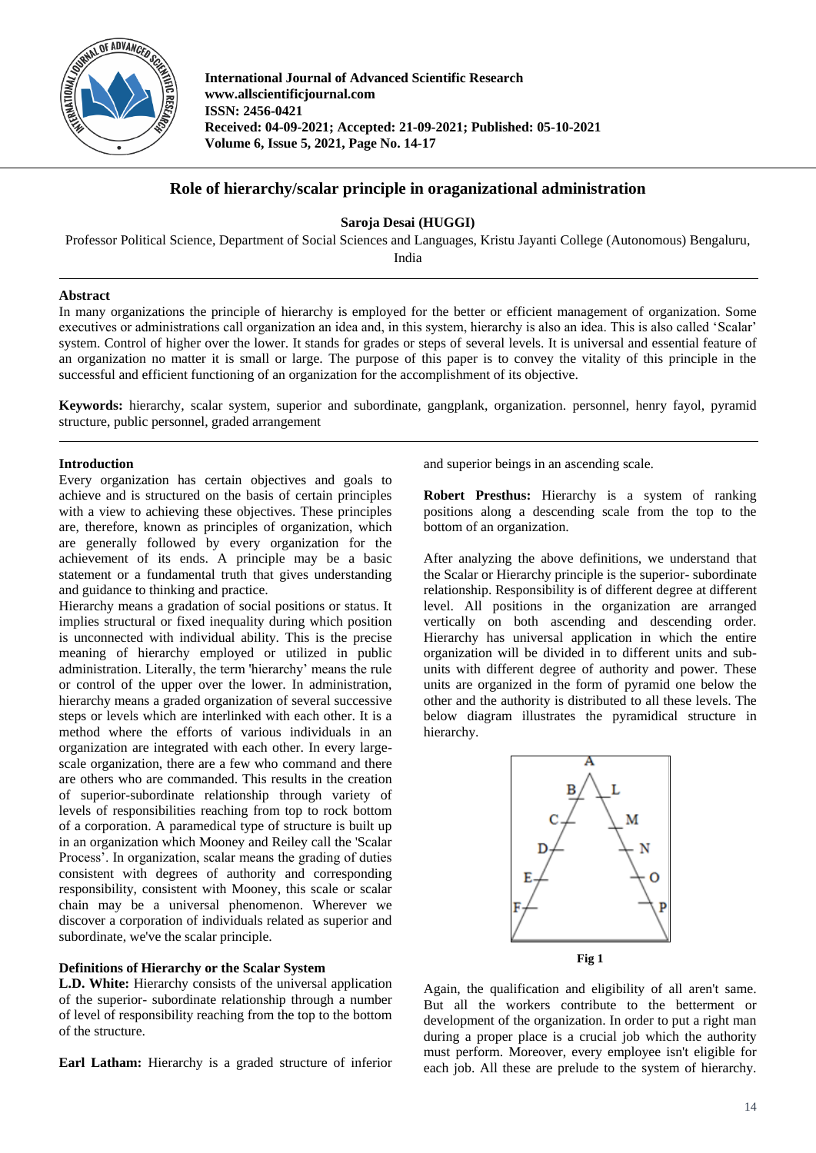

**International Journal of Advanced Scientific Research www.allscientificjournal.com ISSN: 2456-0421 Received: 04-09-2021; Accepted: 21-09-2021; Published: 05-10-2021 Volume 6, Issue 5, 2021, Page No. 14-17**

# **Role of hierarchy/scalar principle in oraganizational administration**

**Saroja Desai (HUGGI)**

Professor Political Science, Department of Social Sciences and Languages, Kristu Jayanti College (Autonomous) Bengaluru,

India

## **Abstract**

In many organizations the principle of hierarchy is employed for the better or efficient management of organization. Some executives or administrations call organization an idea and, in this system, hierarchy is also an idea. This is also called 'Scalar' system. Control of higher over the lower. It stands for grades or steps of several levels. It is universal and essential feature of an organization no matter it is small or large. The purpose of this paper is to convey the vitality of this principle in the successful and efficient functioning of an organization for the accomplishment of its objective.

**Keywords:** hierarchy, scalar system, superior and subordinate, gangplank, organization. personnel, henry fayol, pyramid structure, public personnel, graded arrangement

## **Introduction**

Every organization has certain objectives and goals to achieve and is structured on the basis of certain principles with a view to achieving these objectives. These principles are, therefore, known as principles of organization, which are generally followed by every organization for the achievement of its ends. A principle may be a basic statement or a fundamental truth that gives understanding and guidance to thinking and practice.

Hierarchy means a gradation of social positions or status. It implies structural or fixed inequality during which position is unconnected with individual ability. This is the precise meaning of hierarchy employed or utilized in public administration. Literally, the term 'hierarchy' means the rule or control of the upper over the lower. In administration, hierarchy means a graded organization of several successive steps or levels which are interlinked with each other. It is a method where the efforts of various individuals in an organization are integrated with each other. In every largescale organization, there are a few who command and there are others who are commanded. This results in the creation of superior-subordinate relationship through variety of levels of responsibilities reaching from top to rock bottom of a corporation. A paramedical type of structure is built up in an organization which Mooney and Reiley call the 'Scalar Process'. In organization, scalar means the grading of duties consistent with degrees of authority and corresponding responsibility, consistent with Mooney, this scale or scalar chain may be a universal phenomenon. Wherever we discover a corporation of individuals related as superior and subordinate, we've the scalar principle.

## **Definitions of Hierarchy or the Scalar System**

**L.D. White:** Hierarchy consists of the universal application of the superior- subordinate relationship through a number of level of responsibility reaching from the top to the bottom of the structure.

**Earl Latham:** Hierarchy is a graded structure of inferior

and superior beings in an ascending scale.

**Robert Presthus:** Hierarchy is a system of ranking positions along a descending scale from the top to the bottom of an organization.

After analyzing the above definitions, we understand that the Scalar or Hierarchy principle is the superior- subordinate relationship. Responsibility is of different degree at different level. All positions in the organization are arranged vertically on both ascending and descending order. Hierarchy has universal application in which the entire organization will be divided in to different units and subunits with different degree of authority and power. These units are organized in the form of pyramid one below the other and the authority is distributed to all these levels. The below diagram illustrates the pyramidical structure in hierarchy.



Again, the qualification and eligibility of all aren't same. But all the workers contribute to the betterment or development of the organization. In order to put a right man during a proper place is a crucial job which the authority must perform. Moreover, every employee isn't eligible for each job. All these are prelude to the system of hierarchy.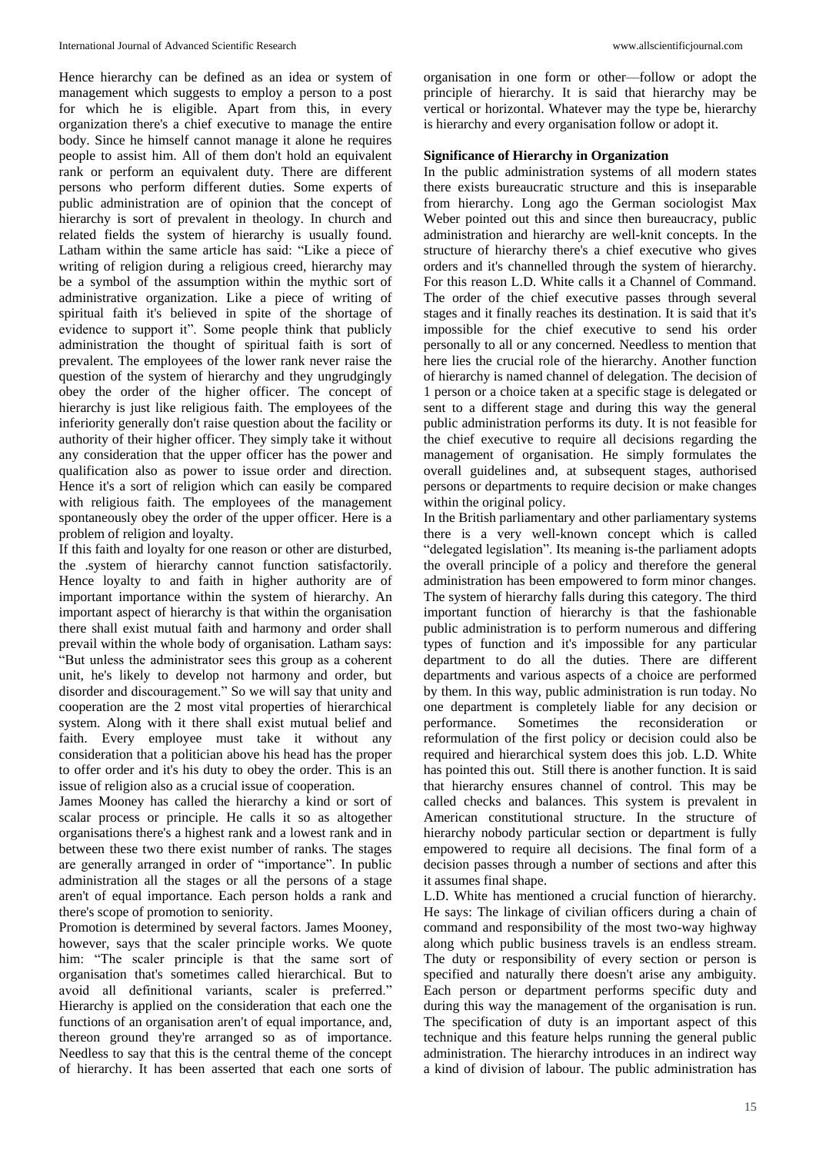Hence hierarchy can be defined as an idea or system of management which suggests to employ a person to a post for which he is eligible. Apart from this, in every organization there's a chief executive to manage the entire body. Since he himself cannot manage it alone he requires people to assist him. All of them don't hold an equivalent rank or perform an equivalent duty. There are different persons who perform different duties. Some experts of public administration are of opinion that the concept of hierarchy is sort of prevalent in theology. In church and related fields the system of hierarchy is usually found. Latham within the same article has said: "Like a piece of writing of religion during a religious creed, hierarchy may be a symbol of the assumption within the mythic sort of administrative organization. Like a piece of writing of spiritual faith it's believed in spite of the shortage of evidence to support it". Some people think that publicly administration the thought of spiritual faith is sort of prevalent. The employees of the lower rank never raise the question of the system of hierarchy and they ungrudgingly obey the order of the higher officer. The concept of hierarchy is just like religious faith. The employees of the inferiority generally don't raise question about the facility or authority of their higher officer. They simply take it without any consideration that the upper officer has the power and qualification also as power to issue order and direction. Hence it's a sort of religion which can easily be compared with religious faith. The employees of the management spontaneously obey the order of the upper officer. Here is a problem of religion and loyalty.

If this faith and loyalty for one reason or other are disturbed, the .system of hierarchy cannot function satisfactorily. Hence loyalty to and faith in higher authority are of important importance within the system of hierarchy. An important aspect of hierarchy is that within the organisation there shall exist mutual faith and harmony and order shall prevail within the whole body of organisation. Latham says: "But unless the administrator sees this group as a coherent unit, he's likely to develop not harmony and order, but disorder and discouragement." So we will say that unity and cooperation are the 2 most vital properties of hierarchical system. Along with it there shall exist mutual belief and faith. Every employee must take it without any consideration that a politician above his head has the proper to offer order and it's his duty to obey the order. This is an issue of religion also as a crucial issue of cooperation.

James Mooney has called the hierarchy a kind or sort of scalar process or principle. He calls it so as altogether organisations there's a highest rank and a lowest rank and in between these two there exist number of ranks. The stages are generally arranged in order of "importance". In public administration all the stages or all the persons of a stage aren't of equal importance. Each person holds a rank and there's scope of promotion to seniority.

Promotion is determined by several factors. James Mooney, however, says that the scaler principle works. We quote him: "The scaler principle is that the same sort of organisation that's sometimes called hierarchical. But to avoid all definitional variants, scaler is preferred." Hierarchy is applied on the consideration that each one the functions of an organisation aren't of equal importance, and, thereon ground they're arranged so as of importance. Needless to say that this is the central theme of the concept of hierarchy. It has been asserted that each one sorts of

organisation in one form or other—follow or adopt the principle of hierarchy. It is said that hierarchy may be vertical or horizontal. Whatever may the type be, hierarchy is hierarchy and every organisation follow or adopt it.

### **Significance of Hierarchy in Organization**

In the public administration systems of all modern states there exists bureaucratic structure and this is inseparable from hierarchy. Long ago the German sociologist Max Weber pointed out this and since then bureaucracy, public administration and hierarchy are well-knit concepts. In the structure of hierarchy there's a chief executive who gives orders and it's channelled through the system of hierarchy. For this reason L.D. White calls it a Channel of Command. The order of the chief executive passes through several stages and it finally reaches its destination. It is said that it's impossible for the chief executive to send his order personally to all or any concerned. Needless to mention that here lies the crucial role of the hierarchy. Another function of hierarchy is named channel of delegation. The decision of 1 person or a choice taken at a specific stage is delegated or sent to a different stage and during this way the general public administration performs its duty. It is not feasible for the chief executive to require all decisions regarding the management of organisation. He simply formulates the overall guidelines and, at subsequent stages, authorised persons or departments to require decision or make changes within the original policy.

In the British parliamentary and other parliamentary systems there is a very well-known concept which is called "delegated legislation". Its meaning is-the parliament adopts the overall principle of a policy and therefore the general administration has been empowered to form minor changes. The system of hierarchy falls during this category. The third important function of hierarchy is that the fashionable public administration is to perform numerous and differing types of function and it's impossible for any particular department to do all the duties. There are different departments and various aspects of a choice are performed by them. In this way, public administration is run today. No one department is completely liable for any decision or performance. Sometimes the reconsideration or reformulation of the first policy or decision could also be required and hierarchical system does this job. L.D. White has pointed this out. Still there is another function. It is said that hierarchy ensures channel of control. This may be called checks and balances. This system is prevalent in American constitutional structure. In the structure of hierarchy nobody particular section or department is fully empowered to require all decisions. The final form of a decision passes through a number of sections and after this it assumes final shape.

L.D. White has mentioned a crucial function of hierarchy. He says: The linkage of civilian officers during a chain of command and responsibility of the most two-way highway along which public business travels is an endless stream. The duty or responsibility of every section or person is specified and naturally there doesn't arise any ambiguity. Each person or department performs specific duty and during this way the management of the organisation is run. The specification of duty is an important aspect of this technique and this feature helps running the general public administration. The hierarchy introduces in an indirect way a kind of division of labour. The public administration has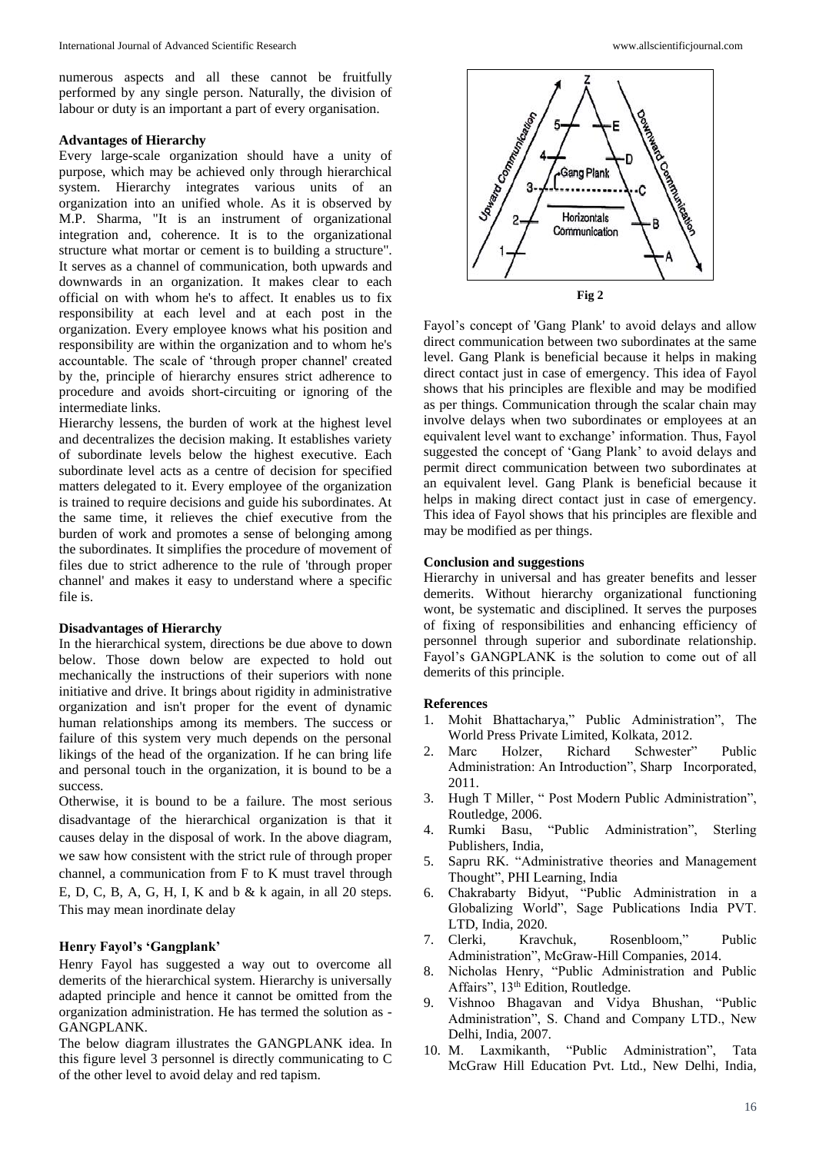numerous aspects and all these cannot be fruitfully performed by any single person. Naturally, the division of labour or duty is an important a part of every organisation.

#### **Advantages of Hierarchy**

Every large-scale organization should have a unity of purpose, which may be achieved only through hierarchical system. Hierarchy integrates various units of an organization into an unified whole. As it is observed by M.P. Sharma, "It is an instrument of organizational integration and, coherence. It is to the organizational structure what mortar or cement is to building a structure". It serves as a channel of communication, both upwards and downwards in an organization. It makes clear to each official on with whom he's to affect. It enables us to fix responsibility at each level and at each post in the organization. Every employee knows what his position and responsibility are within the organization and to whom he's accountable. The scale of 'through proper channel' created by the, principle of hierarchy ensures strict adherence to procedure and avoids short-circuiting or ignoring of the intermediate links.

Hierarchy lessens, the burden of work at the highest level and decentralizes the decision making. It establishes variety of subordinate levels below the highest executive. Each subordinate level acts as a centre of decision for specified matters delegated to it. Every employee of the organization is trained to require decisions and guide his subordinates. At the same time, it relieves the chief executive from the burden of work and promotes a sense of belonging among the subordinates. It simplifies the procedure of movement of files due to strict adherence to the rule of 'through proper channel' and makes it easy to understand where a specific file is.

#### **Disadvantages of Hierarchy**

In the hierarchical system, directions be due above to down below. Those down below are expected to hold out mechanically the instructions of their superiors with none initiative and drive. It brings about rigidity in administrative organization and isn't proper for the event of dynamic human relationships among its members. The success or failure of this system very much depends on the personal likings of the head of the organization. If he can bring life and personal touch in the organization, it is bound to be a success.

Otherwise, it is bound to be a failure. The most serious disadvantage of the hierarchical organization is that it causes delay in the disposal of work. In the above diagram, we saw how consistent with the strict rule of through proper channel, a communication from F to K must travel through E, D, C, B, A, G, H, I, K and b & k again, in all 20 steps. This may mean inordinate delay

#### **Henry Fayol's 'Gangplank'**

Henry Fayol has suggested a way out to overcome all demerits of the hierarchical system. Hierarchy is universally adapted principle and hence it cannot be omitted from the organization administration. He has termed the solution as - GANGPLANK.

The below diagram illustrates the GANGPLANK idea. In this figure level 3 personnel is directly communicating to C of the other level to avoid delay and red tapism.



Fayol's concept of 'Gang Plank' to avoid delays and allow direct communication between two subordinates at the same level. Gang Plank is beneficial because it helps in making direct contact just in case of emergency. This idea of Fayol shows that his principles are flexible and may be modified as per things. Communication through the scalar chain may involve delays when two subordinates or employees at an equivalent level want to exchange' information. Thus, Fayol suggested the concept of 'Gang Plank' to avoid delays and permit direct communication between two subordinates at an equivalent level. Gang Plank is beneficial because it helps in making direct contact just in case of emergency. This idea of Fayol shows that his principles are flexible and may be modified as per things.

### **Conclusion and suggestions**

Hierarchy in universal and has greater benefits and lesser demerits. Without hierarchy organizational functioning wont, be systematic and disciplined. It serves the purposes of fixing of responsibilities and enhancing efficiency of personnel through superior and subordinate relationship. Fayol's GANGPLANK is the solution to come out of all demerits of this principle.

#### **References**

- 1. Mohit Bhattacharya," Public Administration", The World Press Private Limited, Kolkata, 2012.
- 2. Marc Holzer, Richard Schwester" Public Administration: An Introduction", Sharp Incorporated, 2011.
- 3. Hugh T Miller, " Post Modern Public Administration", Routledge, 2006.
- 4. Rumki Basu, "Public Administration", Sterling Publishers, India,
- 5. Sapru RK. "Administrative theories and Management Thought", PHI Learning, India
- 6. Chakrabarty Bidyut, "Public Administration in a Globalizing World", Sage Publications India PVT. LTD, India, 2020.
- 7. Clerki, Kravchuk, Rosenbloom," Public Administration", McGraw-Hill Companies, 2014.
- 8. Nicholas Henry, "Public Administration and Public Affairs", 13<sup>th</sup> Edition, Routledge.
- 9. Vishnoo Bhagavan and Vidya Bhushan, "Public Administration", S. Chand and Company LTD., New Delhi, India, 2007.
- 10. M. Laxmikanth, "Public Administration", Tata McGraw Hill Education Pvt. Ltd., New Delhi, India,